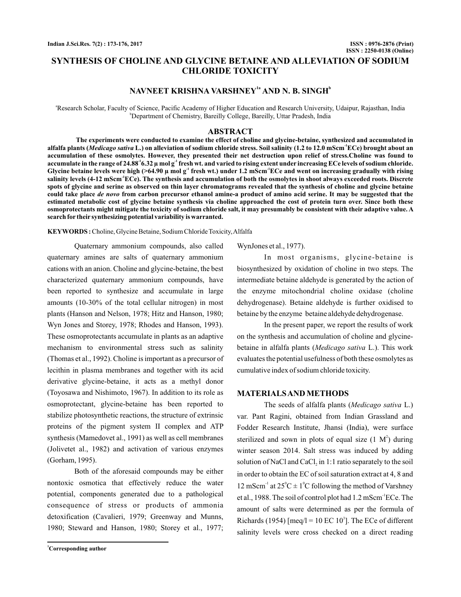# **SYNTHESIS OF CHOLINE AND GLYCINE BETAINE AND ALLEVIATION OF SODIUM CHLORIDE TOXICITY**

# NAVNEET KRISHNA VARSHNEY<sup>12</sup> AND N. B. SINGH<sup>b</sup>

a Research Scholar, Faculty of Science, Pacific Academy of Higher Education and Research University, Udaipur, Rajasthan, India b Department of Chemistry, Bareilly College, Bareilly, Uttar Pradesh, India

## **ABSTRACT**

**The experiments were conducted to examine the effect of choline and glycine-betaine, synthesized and accumulated in** alfalfa plants (*Medicago sativa* L.) on alleviation of sodium chloride stress. Soil salinity (1.2 to 12.0 mScm<sup>.I</sup>ECe) brought about an **accumulation of these osmolytes. However, they presented their net destruction upon relief of stress.Choline was found to** accumulate in the range of 24.88 $^{\circ}$ 6.32  $\mu$  mol g $^{\circ}$  fresh wt. and varied to rising extent under increasing ECe levels of sodium chloride. Glycine betaine levels were high (>64.90  $\mu$  mol g $^1$  fresh wt.) under 1.2 mScm $^1$ ECe and went on increasing gradually with rising  $s$ alinity levels (4-12 mScm $^{\prime}$ ECe). The synthesis and accumulation of both the osmolytes in shoot always exceeded roots. Discrete **spots of glycine and serine as observed on thin layer chromatograms revealed that the synthesis of choline and glycine betaine** could take place *de novo* from carbon precursor ethanol amine-a product of amino acid serine. It may be suggested that the **estimated metabolic cost of glycine betaine synthesis via choline approached the cost of protein turn over. Since both these osmoprotectants might mitigate the toxicity of sodium chloride salt, it may presumably be consistent with their adaptive value. A search for their synthesizing potential variability is warranted.**

Choline, Glycine Betaine, Sodium Chloride Toxicity,Alfalfa **KEYWORDS :**

Quaternary ammonium compounds, also called quaternary amines are salts of quaternary ammonium cations with an anion. Choline and glycine-betaine, the best characterized quaternary ammonium compounds, have been reported to synthesize and accumulate in large amounts (10-30% of the total cellular nitrogen) in most plants (Hanson and Nelson, 1978; Hitz and Hanson, 1980; Wyn Jones and Storey, 1978; Rhodes and Hanson, 1993). These osmoprotectants accumulate in plants as an adaptive mechanism to environmental stress such as salinity (Thomas et al., 1992). Choline is important as a precursor of lecithin in plasma membranes and together with its acid derivative glycine-betaine, it acts as a methyl donor (Toyosawa and Nishimoto, 1967). In addition to its role as osmoprotectant, glycine-betaine has been reported to stabilize photosynthetic reactions, the structure of extrinsic proteins of the pigment system II complex and ATP synthesis (Mamedovet al., 1991) as well as cell membranes (Jolivetet al., 1982) and activation of various enzymes (Gorham, 1995).

Both of the aforesaid compounds may be either nontoxic osmotica that effectively reduce the water potential, components generated due to a pathological consequence of stress or products of ammonia detoxification (Cavalieri, 1979; Greenway and Munns, 1980; Steward and Hanson, 1980; Storey et al., 1977;

WynJones et al., 1977).

In most organisms, glycine-betaine is biosynthesized by oxidation of choline in two steps. The intermediate betaine aldehyde is generated by the action of the enzyme mitochondrial choline oxidase (choline dehydrogenase). Betaine aldehyde is further oxidised to betaine by the enzyme betaine aldehyde dehydrogenase.

In the present paper, we report the results of work on the synthesis and accumulation of choline and glycinebetaine in alfalfa plants (Medicago sativa L.). This work evaluates the potential usefulness of both these osmolytes as cumulative index of sodium chloride toxicity.

## **MATERIALSANDMETHODS**

The seeds of alfalfa plants (Medicago sativa L.) var. Pant Ragini, obtained from Indian Grassland and Fodder Research Institute, Jhansi (India), were surface sterilized and sown in plots of equal size  $(1 \text{ M}^2)$  during winter season 2014. Salt stress was induced by adding solution of NaCl and  $CaCl<sub>2</sub>$  in 1:1 ratio separately to the soil in order to obtain the EC of soil saturation extract at 4, 8 and 12 mScm<sup>-1</sup> at  $25^{\circ}$ C  $\pm$  1<sup>°</sup>C following the method of Varshney et al., 1988. The soil of control plot had 1.2 mScm <sup>1</sup>ECe. The amount of salts were determined as per the formula of Richards (1954) [meq/l = 10 EC  $10<sup>3</sup>$ ]. The ECe of different salinity levels were cross checked on a direct reading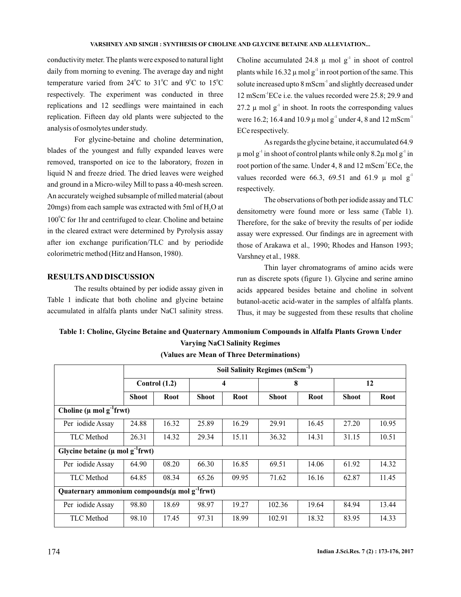## **VARSHNEY AND SINGH : SYNTHESIS OF CHOLINE AND GLYCINE BETAINE AND ALLEVIATION...**

conductivity meter. The plants were exposed to natural light daily from morning to evening. The average day and night temperature varied from  $24^{\circ}$ C to  $31^{\circ}$ C and  $9^{\circ}$ C to  $15^{\circ}$ C respectively. The experiment was conducted in three replications and 12 seedlings were maintained in each replication. Fifteen day old plants were subjected to the analysis of osmolytes under study.

For glycine-betaine and choline determination, blades of the youngest and fully expanded leaves were removed, transported on ice to the laboratory, frozen in liquid N and freeze dried. The dried leaves were weighed and ground in a Micro-wiley Mill to pass a 40-mesh screen. An accurately weighed subsample of milled material (about 20mgs) from each sample was extracted with 5ml of  $\rm H_2O$  at  $100^{\circ}$ C for 1hr and centrifuged to clear. Choline and betaine in the cleared extract were determined by Pyrolysis assay after ion exchange purification/TLC and by periodide colorimetric method (Hitz and Hanson, 1980).

## **RESULTSAND DISCUSSION**

The results obtained by per iodide assay given in Table 1 indicate that both choline and glycine betaine accumulated in alfalfa plants under NaCl salinity stress.

Choline accumulated 24.8  $\mu$  mol g<sup>-1</sup> in shoot of control plants while  $16.32 \mu$  mol g<sup>-1</sup> in root portion of the same. This solute increased upto 8 mScm<sup>-1</sup> and slightly decreased under 12 mScm<sup>-1</sup>ECe i.e. the values recorded were 25.8; 29.9 and 27.2  $\mu$  mol g<sup>-1</sup> in shoot. In roots the corresponding values were 16.2; 16.4 and 10.9  $\mu$  mol g<sup>-1</sup> under 4, 8 and 12 mScm<sup>-1</sup> ECe respectively.

As regards the glycine betaine, it accumulated 64.9  $\mu$  mol g<sup>-1</sup> in shoot of control plants while only 8.2 $\mu$  mol g<sup>-1</sup> in root portion of the same. Under 4, 8 and 12 mScm<sup>-1</sup>ECe, the values recorded were 66.3, 69.51 and 61.9  $\mu$  mol g<sup>-1</sup> respectively.

The observations of both per iodide assay and TLC densitometry were found more or less same (Table 1). Therefore, for the sake of brevity the results of per iodide assay were expressed. Our findings are in agreement with those of Arakawa et al., 1990; Rhodes and Hanson 1993; Varshney et al., 1988.

Thin layer chromatograms of amino acids were run as discrete spots (figure 1). Glycine and serine amino acids appeared besides betaine and choline in solvent butanol-acetic acid-water in the samples of alfalfa plants. Thus, it may be suggested from these results that choline

# **Table 1: Choline, Glycine Betaine and Quaternary Ammonium Compounds in Alfalfa Plants Grown Under Varying NaCl Salinity Regimes**

|                                                               | Soil Salinity Regimes (mScm <sup>-1</sup> ) |       |              |             |              |       |              |       |
|---------------------------------------------------------------|---------------------------------------------|-------|--------------|-------------|--------------|-------|--------------|-------|
|                                                               | Control $(1.2)$                             |       | 4            |             | 8            |       | 12           |       |
|                                                               | <b>Shoot</b>                                | Root  | <b>Shoot</b> | <b>Root</b> | <b>Shoot</b> | Root  | <b>Shoot</b> | Root  |
| Choline ( $\mu$ mol g <sup>-1</sup> frwt)                     |                                             |       |              |             |              |       |              |       |
| Per iodide Assay                                              | 24.88                                       | 16.32 | 25.89        | 16.29       | 29.91        | 16.45 | 27.20        | 10.95 |
| <b>TLC</b> Method                                             | 26.31                                       | 14.32 | 29.34        | 15.11       | 36.32        | 14.31 | 31.15        | 10.51 |
| Glycine betaine ( $\mu$ mol g <sup>-1</sup> frwt)             |                                             |       |              |             |              |       |              |       |
| Per iodide Assay                                              | 64.90                                       | 08.20 | 66.30        | 16.85       | 69.51        | 14.06 | 61.92        | 14.32 |
| <b>TLC</b> Method                                             | 64.85                                       | 08.34 | 65.26        | 09.95       | 71.62        | 16.16 | 62.87        | 11.45 |
| Quaternary ammonium compounds $(\mu \text{ mol g}^{-1}$ frwt) |                                             |       |              |             |              |       |              |       |
| Per iodide Assay                                              | 98.80                                       | 18.69 | 98.97        | 19.27       | 102.36       | 19.64 | 84.94        | 13.44 |
| <b>TLC</b> Method                                             | 98.10                                       | 17.45 | 97.31        | 18.99       | 102.91       | 18.32 | 83.95        | 14.33 |

### **(Values are Mean of Three Determinations)**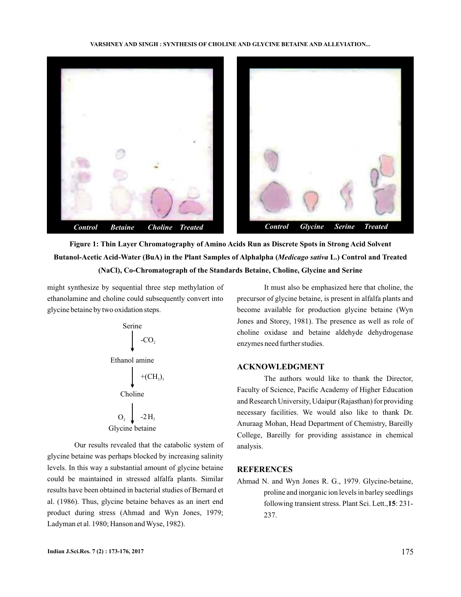#### **VARSHNEY AND SINGH : SYNTHESIS OF CHOLINE AND GLYCINE BETAINE AND ALLEVIATION...**



**Figure 1: Thin Layer Chromatography of Amino Acids Run as Discrete Spots in Strong Acid Solvent** Butanol-Acetic Acid-Water (BuA) in the Plant Samples of Alphalpha (*Medicago sativa* L.) Control and Treated **(NaCl), Co-Chromatograph of the Standards Betaine, Choline, Glycine and Serine**

might synthesize by sequential three step methylation of ethanolamine and choline could subsequently convert into glycine betaine by two oxidation steps.

Serine\n
$$
\downarrow
$$
 -CO<sub>2</sub>\n\nEthanol amine\n
$$
+ (CH3)3
$$
\n\nCholine\n
$$
O2 \downarrow
$$
 -2H<sub>2</sub>\n\nGlycine betaine

Our results revealed that the catabolic system of glycine betaine was perhaps blocked by increasing salinity levels. In this way a substantial amount of glycine betaine could be maintained in stressed alfalfa plants. Similar results have been obtained in bacterial studies of Bernard et al. (1986). Thus, glycine betaine behaves as an inert end product during stress (Ahmad and Wyn Jones, 1979; Ladyman et al. 1980; Hanson and Wyse, 1982).

It must also be emphasized here that choline, the precursor of glycine betaine, is present in alfalfa plants and become available for production glycine betaine (Wyn Jones and Storey, 1981). The presence as well as role of choline oxidase and betaine aldehyde dehydrogenase enzymes need further studies.

## **ACKNOWLEDGMENT**

The authors would like to thank the Director, Faculty of Science, Pacific Academy of Higher Education and Research University, Udaipur (Rajasthan) for providing necessary facilities. We would also like to thank Dr. Anuraag Mohan, Head Department of Chemistry, Bareilly College, Bareilly for providing assistance in chemical analysis.

## **REFERENCES**

Ahmad N. and Wyn Jones R. G., 1979. Glycine-betaine, proline and inorganic ion levels in barley seedlings following transient stress. Plant Sci. Lett., 15: 231-237.